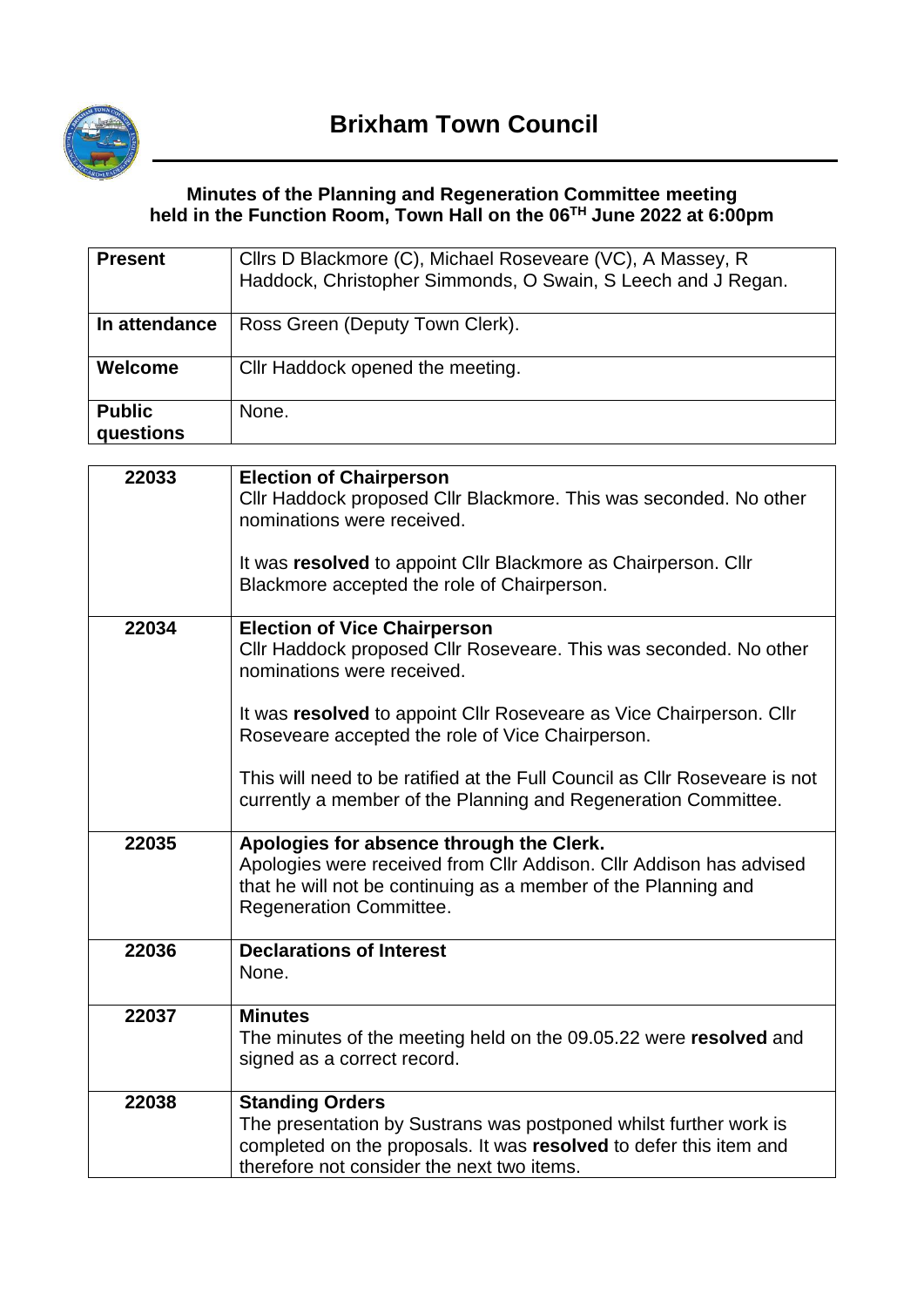

# **Minutes of the Planning and Regeneration Committee meeting held in the Function Room, Town Hall on the 06 TH June 2022 at 6:00pm**

| <b>Present</b>             | Cllrs D Blackmore (C), Michael Roseveare (VC), A Massey, R<br>Haddock, Christopher Simmonds, O Swain, S Leech and J Regan. |
|----------------------------|----------------------------------------------------------------------------------------------------------------------------|
| In attendance              | Ross Green (Deputy Town Clerk).                                                                                            |
| Welcome                    | Cllr Haddock opened the meeting.                                                                                           |
| <b>Public</b><br>questions | None.                                                                                                                      |

| 22033 | <b>Election of Chairperson</b>                                                                                   |
|-------|------------------------------------------------------------------------------------------------------------------|
|       | Cllr Haddock proposed Cllr Blackmore. This was seconded. No other                                                |
|       | nominations were received.                                                                                       |
|       |                                                                                                                  |
|       | It was resolved to appoint Cllr Blackmore as Chairperson. Cllr                                                   |
|       | Blackmore accepted the role of Chairperson.                                                                      |
|       |                                                                                                                  |
| 22034 | <b>Election of Vice Chairperson</b>                                                                              |
|       | Cllr Haddock proposed Cllr Roseveare. This was seconded. No other<br>nominations were received.                  |
|       |                                                                                                                  |
|       | It was resolved to appoint Cllr Roseveare as Vice Chairperson. Cllr                                              |
|       | Roseveare accepted the role of Vice Chairperson.                                                                 |
|       |                                                                                                                  |
|       | This will need to be ratified at the Full Council as CIIr Roseveare is not                                       |
|       | currently a member of the Planning and Regeneration Committee.                                                   |
|       |                                                                                                                  |
| 22035 | Apologies for absence through the Clerk.                                                                         |
|       | Apologies were received from Cllr Addison. Cllr Addison has advised                                              |
|       | that he will not be continuing as a member of the Planning and                                                   |
|       | <b>Regeneration Committee.</b>                                                                                   |
| 22036 | <b>Declarations of Interest</b>                                                                                  |
|       | None.                                                                                                            |
|       |                                                                                                                  |
| 22037 | <b>Minutes</b>                                                                                                   |
|       | The minutes of the meeting held on the 09.05.22 were resolved and                                                |
|       | signed as a correct record.                                                                                      |
|       |                                                                                                                  |
| 22038 | <b>Standing Orders</b>                                                                                           |
|       | The presentation by Sustrans was postponed whilst further work is                                                |
|       | completed on the proposals. It was resolved to defer this item and<br>therefore not consider the next two items. |
|       |                                                                                                                  |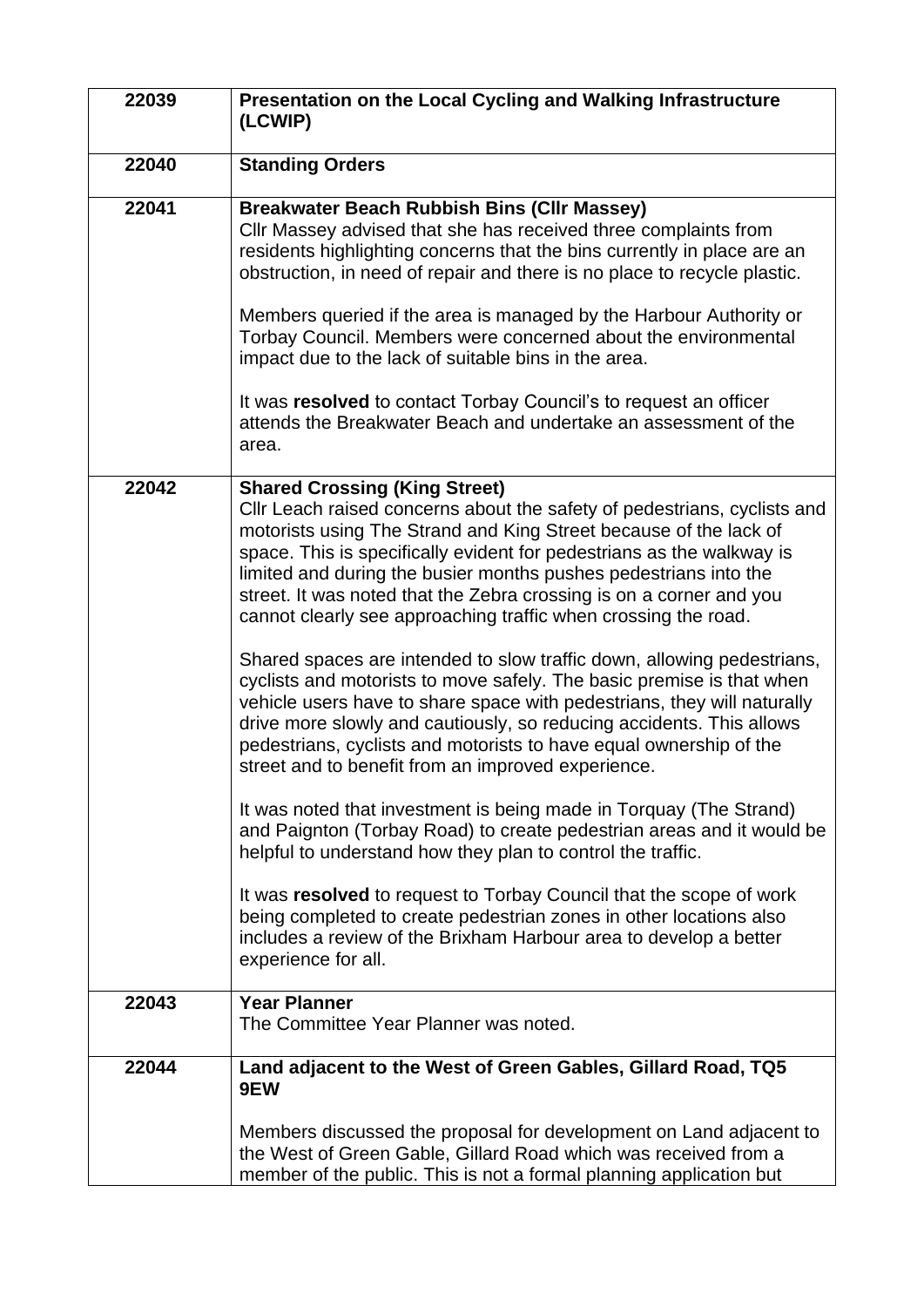| 22039 | Presentation on the Local Cycling and Walking Infrastructure<br>(LCWIP)                                                                                                                                                                                                                                                                                                                                                                                                                                                                                                                                                                                                                                                                                                                                                                                                                                                                                                                                                                                                                                                                                                                                                                                                                                                                                              |  |  |
|-------|----------------------------------------------------------------------------------------------------------------------------------------------------------------------------------------------------------------------------------------------------------------------------------------------------------------------------------------------------------------------------------------------------------------------------------------------------------------------------------------------------------------------------------------------------------------------------------------------------------------------------------------------------------------------------------------------------------------------------------------------------------------------------------------------------------------------------------------------------------------------------------------------------------------------------------------------------------------------------------------------------------------------------------------------------------------------------------------------------------------------------------------------------------------------------------------------------------------------------------------------------------------------------------------------------------------------------------------------------------------------|--|--|
| 22040 | <b>Standing Orders</b>                                                                                                                                                                                                                                                                                                                                                                                                                                                                                                                                                                                                                                                                                                                                                                                                                                                                                                                                                                                                                                                                                                                                                                                                                                                                                                                                               |  |  |
| 22041 | <b>Breakwater Beach Rubbish Bins (Cllr Massey)</b><br>CIIr Massey advised that she has received three complaints from<br>residents highlighting concerns that the bins currently in place are an<br>obstruction, in need of repair and there is no place to recycle plastic.<br>Members queried if the area is managed by the Harbour Authority or<br>Torbay Council. Members were concerned about the environmental<br>impact due to the lack of suitable bins in the area.<br>It was resolved to contact Torbay Council's to request an officer<br>attends the Breakwater Beach and undertake an assessment of the<br>area.                                                                                                                                                                                                                                                                                                                                                                                                                                                                                                                                                                                                                                                                                                                                        |  |  |
| 22042 | <b>Shared Crossing (King Street)</b><br>CIIr Leach raised concerns about the safety of pedestrians, cyclists and<br>motorists using The Strand and King Street because of the lack of<br>space. This is specifically evident for pedestrians as the walkway is<br>limited and during the busier months pushes pedestrians into the<br>street. It was noted that the Zebra crossing is on a corner and you<br>cannot clearly see approaching traffic when crossing the road.<br>Shared spaces are intended to slow traffic down, allowing pedestrians,<br>cyclists and motorists to move safely. The basic premise is that when<br>vehicle users have to share space with pedestrians, they will naturally<br>drive more slowly and cautiously, so reducing accidents. This allows<br>pedestrians, cyclists and motorists to have equal ownership of the<br>street and to benefit from an improved experience.<br>It was noted that investment is being made in Torquay (The Strand)<br>and Paignton (Torbay Road) to create pedestrian areas and it would be<br>helpful to understand how they plan to control the traffic.<br>It was resolved to request to Torbay Council that the scope of work<br>being completed to create pedestrian zones in other locations also<br>includes a review of the Brixham Harbour area to develop a better<br>experience for all. |  |  |
| 22043 | <b>Year Planner</b><br>The Committee Year Planner was noted.                                                                                                                                                                                                                                                                                                                                                                                                                                                                                                                                                                                                                                                                                                                                                                                                                                                                                                                                                                                                                                                                                                                                                                                                                                                                                                         |  |  |
| 22044 | Land adjacent to the West of Green Gables, Gillard Road, TQ5<br>9EW<br>Members discussed the proposal for development on Land adjacent to<br>the West of Green Gable, Gillard Road which was received from a<br>member of the public. This is not a formal planning application but                                                                                                                                                                                                                                                                                                                                                                                                                                                                                                                                                                                                                                                                                                                                                                                                                                                                                                                                                                                                                                                                                  |  |  |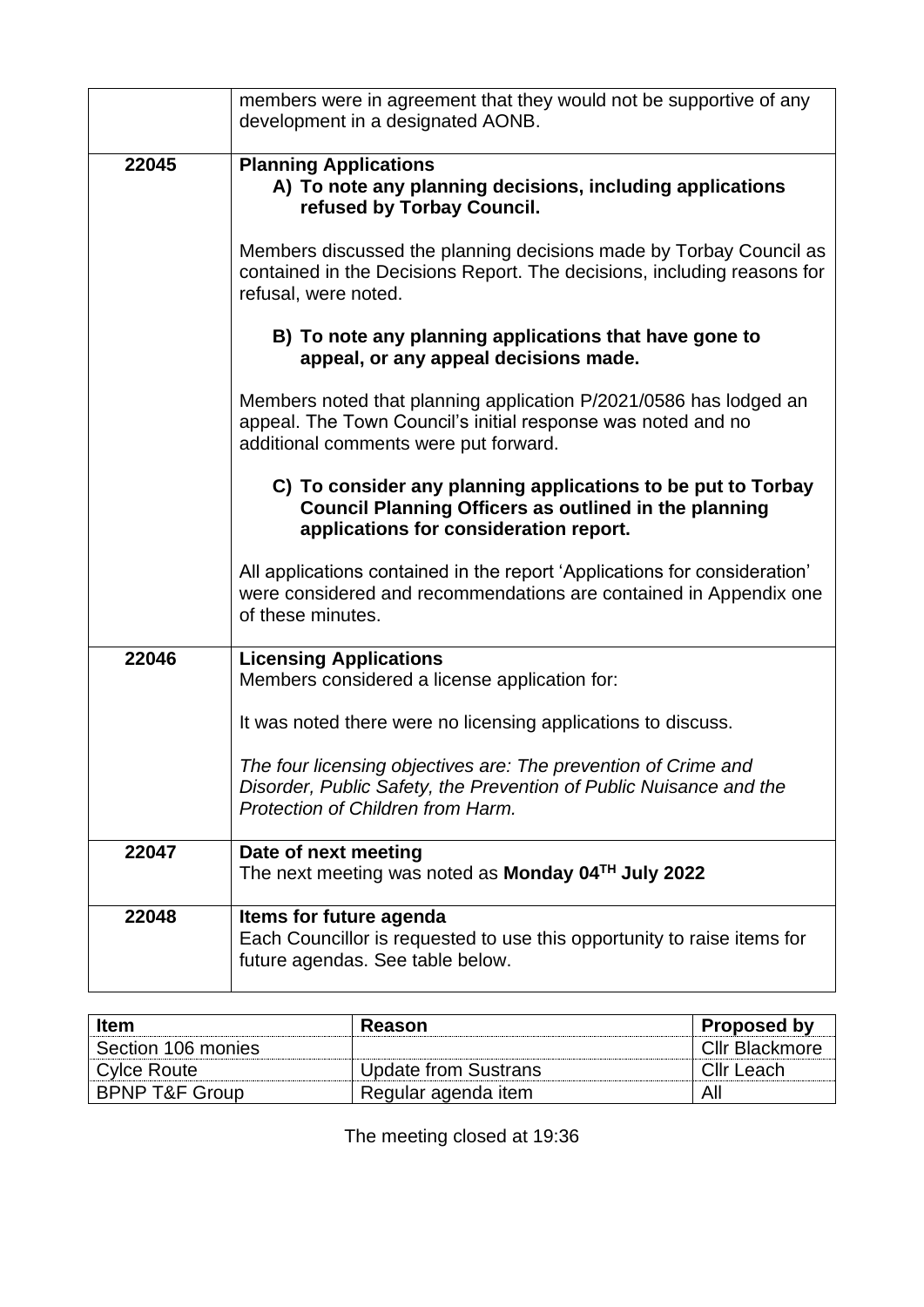|       | members were in agreement that they would not be supportive of any<br>development in a designated AONB.                                                                    |
|-------|----------------------------------------------------------------------------------------------------------------------------------------------------------------------------|
| 22045 | <b>Planning Applications</b><br>A) To note any planning decisions, including applications<br>refused by Torbay Council.                                                    |
|       | Members discussed the planning decisions made by Torbay Council as<br>contained in the Decisions Report. The decisions, including reasons for<br>refusal, were noted.      |
|       | B) To note any planning applications that have gone to<br>appeal, or any appeal decisions made.                                                                            |
|       | Members noted that planning application P/2021/0586 has lodged an<br>appeal. The Town Council's initial response was noted and no<br>additional comments were put forward. |
|       | C) To consider any planning applications to be put to Torbay<br><b>Council Planning Officers as outlined in the planning</b><br>applications for consideration report.     |
|       | All applications contained in the report 'Applications for consideration'<br>were considered and recommendations are contained in Appendix one<br>of these minutes.        |
| 22046 | <b>Licensing Applications</b><br>Members considered a license application for:                                                                                             |
|       | It was noted there were no licensing applications to discuss.                                                                                                              |
|       | The four licensing objectives are: The prevention of Crime and<br>Disorder, Public Safety, the Prevention of Public Nuisance and the<br>Protection of Children from Harm.  |
| 22047 | Date of next meeting<br>The next meeting was noted as Monday 04 <sup>TH</sup> July 2022                                                                                    |
| 22048 | Items for future agenda<br>Each Councillor is requested to use this opportunity to raise items for<br>future agendas. See table below.                                     |

| <b>Item</b>               | Reason               | <b>Proposed by</b>    |
|---------------------------|----------------------|-----------------------|
| Section 106 monies        |                      | <b>Cllr Blackmore</b> |
| Cylce Route               | Update from Sustrans | Cllr Leach            |
| <b>BPNP T&amp;F Group</b> | Regular agenda item  | All                   |

The meeting closed at 19:36